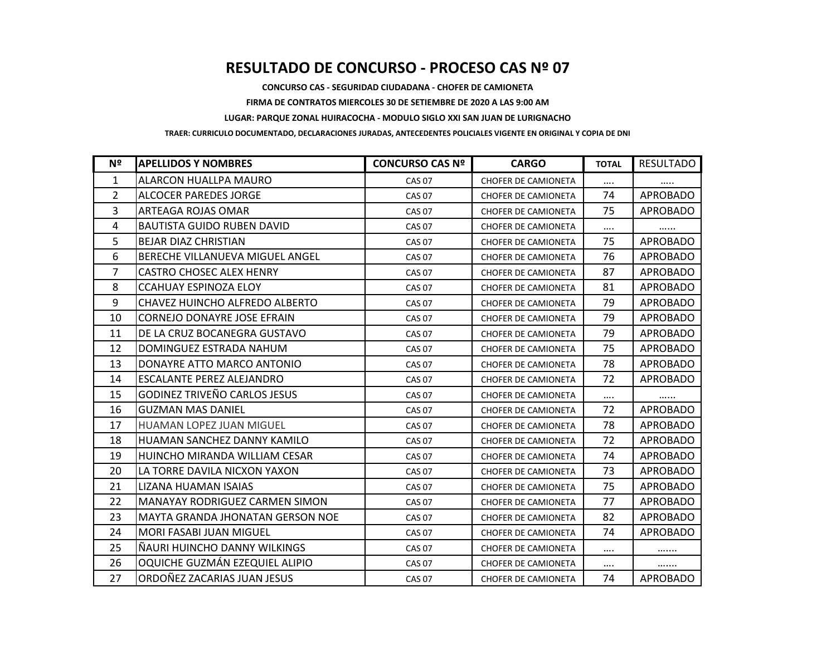## **RESULTADO DE CONCURSO - PROCESO CAS Nº 07**

**CONCURSO CAS - SEGURIDAD CIUDADANA - CHOFER DE CAMIONETA**

**FIRMA DE CONTRATOS MIERCOLES 30 DE SETIEMBRE DE 2020 A LAS 9:00 AM**

**LUGAR: PARQUE ZONAL HUIRACOCHA - MODULO SIGLO XXI SAN JUAN DE LURIGNACHO**

**TRAER: CURRICULO DOCUMENTADO, DECLARACIONES JURADAS, ANTECEDENTES POLICIALES VIGENTE EN ORIGINAL Y COPIA DE DNI**

| Nº             | <b>APELLIDOS Y NOMBRES</b>              | <b>CONCURSO CAS Nº</b> | <b>CARGO</b>               | <b>TOTAL</b> | <b>RESULTADO</b> |
|----------------|-----------------------------------------|------------------------|----------------------------|--------------|------------------|
| 1              | ALARCON HUALLPA MAURO                   | <b>CAS 07</b>          | <b>CHOFER DE CAMIONETA</b> | $\cdots$     |                  |
| 2              | ALCOCER PAREDES JORGE                   | <b>CAS 07</b>          | <b>CHOFER DE CAMIONETA</b> | 74           | <b>APROBADO</b>  |
| $\overline{3}$ | <b>ARTEAGA ROJAS OMAR</b>               | <b>CAS 07</b>          | <b>CHOFER DE CAMIONETA</b> | 75           | <b>APROBADO</b>  |
| 4              | <b>BAUTISTA GUIDO RUBEN DAVID</b>       | <b>CAS 07</b>          | <b>CHOFER DE CAMIONETA</b> | $\cdots$     |                  |
| 5              | <b>BEJAR DIAZ CHRISTIAN</b>             | <b>CAS 07</b>          | <b>CHOFER DE CAMIONETA</b> | 75           | <b>APROBADO</b>  |
| 6              | BERECHE VILLANUEVA MIGUEL ANGEL         | <b>CAS 07</b>          | <b>CHOFER DE CAMIONETA</b> | 76           | <b>APROBADO</b>  |
| 7              | <b>CASTRO CHOSEC ALEX HENRY</b>         | <b>CAS 07</b>          | <b>CHOFER DE CAMIONETA</b> | 87           | <b>APROBADO</b>  |
| 8              | <b>CCAHUAY ESPINOZA ELOY</b>            | <b>CAS 07</b>          | <b>CHOFER DE CAMIONETA</b> | 81           | <b>APROBADO</b>  |
| 9              | CHAVEZ HUINCHO ALFREDO ALBERTO          | <b>CAS 07</b>          | <b>CHOFER DE CAMIONETA</b> | 79           | <b>APROBADO</b>  |
| 10             | <b>CORNEJO DONAYRE JOSE EFRAIN</b>      | <b>CAS 07</b>          | <b>CHOFER DE CAMIONETA</b> | 79           | APROBADO         |
| 11             | DE LA CRUZ BOCANEGRA GUSTAVO            | <b>CAS 07</b>          | <b>CHOFER DE CAMIONETA</b> | 79           | <b>APROBADO</b>  |
| 12             | DOMINGUEZ ESTRADA NAHUM                 | <b>CAS 07</b>          | <b>CHOFER DE CAMIONETA</b> | 75           | <b>APROBADO</b>  |
| 13             | DONAYRE ATTO MARCO ANTONIO              | <b>CAS 07</b>          | <b>CHOFER DE CAMIONETA</b> | 78           | <b>APROBADO</b>  |
| 14             | ESCALANTE PEREZ ALEJANDRO               | <b>CAS 07</b>          | <b>CHOFER DE CAMIONETA</b> | 72           | <b>APROBADO</b>  |
| 15             | <b>GODINEZ TRIVEÑO CARLOS JESUS</b>     | <b>CAS 07</b>          | <b>CHOFER DE CAMIONETA</b> |              |                  |
| 16             | <b>GUZMAN MAS DANIEL</b>                | <b>CAS 07</b>          | <b>CHOFER DE CAMIONETA</b> | 72           | <b>APROBADO</b>  |
| 17             | <b>HUAMAN LOPEZ JUAN MIGUEL</b>         | <b>CAS 07</b>          | <b>CHOFER DE CAMIONETA</b> | 78           | <b>APROBADO</b>  |
| 18             | HUAMAN SANCHEZ DANNY KAMILO             | <b>CAS 07</b>          | <b>CHOFER DE CAMIONETA</b> | 72           | <b>APROBADO</b>  |
| 19             | HUINCHO MIRANDA WILLIAM CESAR           | <b>CAS 07</b>          | <b>CHOFER DE CAMIONETA</b> | 74           | <b>APROBADO</b>  |
| 20             | LA TORRE DAVILA NICXON YAXON            | <b>CAS 07</b>          | <b>CHOFER DE CAMIONETA</b> | 73           | <b>APROBADO</b>  |
| 21             | LIZANA HUAMAN ISAIAS                    | <b>CAS 07</b>          | <b>CHOFER DE CAMIONETA</b> | 75           | <b>APROBADO</b>  |
| 22             | <b>MANAYAY RODRIGUEZ CARMEN SIMON</b>   | <b>CAS 07</b>          | <b>CHOFER DE CAMIONETA</b> | 77           | <b>APROBADO</b>  |
| 23             | <b>MAYTA GRANDA JHONATAN GERSON NOE</b> | <b>CAS 07</b>          | <b>CHOFER DE CAMIONETA</b> | 82           | <b>APROBADO</b>  |
| 24             | <b>MORI FASABI JUAN MIGUEL</b>          | <b>CAS 07</b>          | <b>CHOFER DE CAMIONETA</b> | 74           | <b>APROBADO</b>  |
| 25             | NAURI HUINCHO DANNY WILKINGS            | <b>CAS 07</b>          | <b>CHOFER DE CAMIONETA</b> | $\cdots$     |                  |
| 26             | OQUICHE GUZMÁN EZEQUIEL ALIPIO          | <b>CAS 07</b>          | <b>CHOFER DE CAMIONETA</b> | $\cdots$     |                  |
| 27             | ORDOÑEZ ZACARIAS JUAN JESUS             | <b>CAS 07</b>          | <b>CHOFER DE CAMIONETA</b> | 74           | <b>APROBADO</b>  |